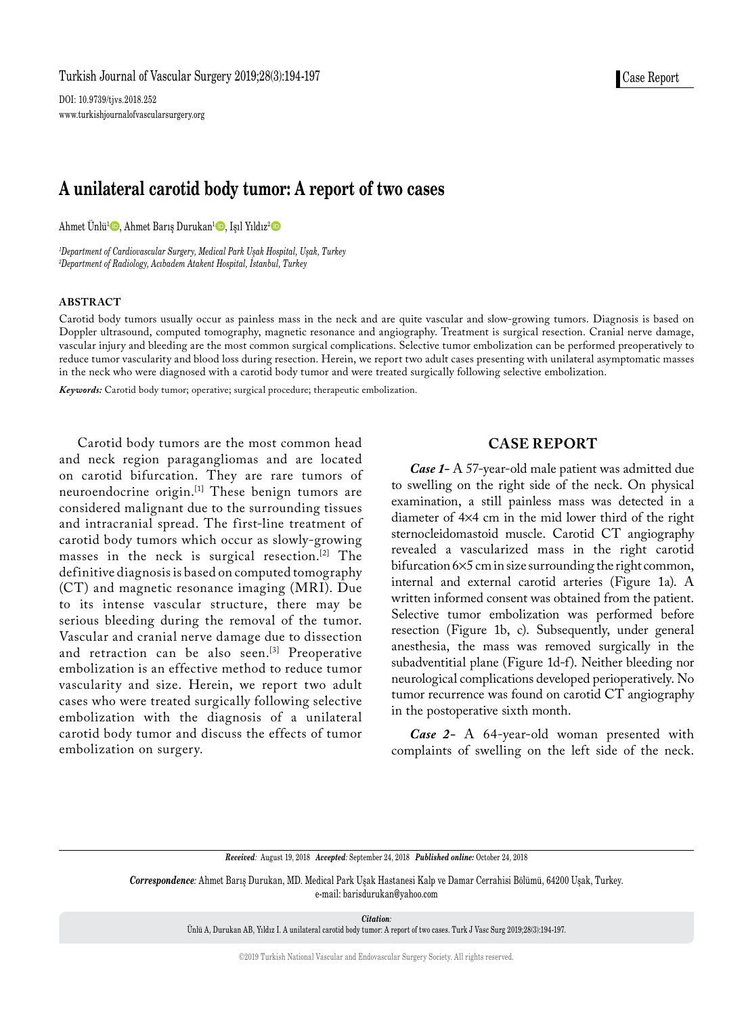DOI: 10.9739/tjvs.2018.252 www.turkishjournalofvascularsurgery.org

# **A unilateral carotid body tumor: A report of two cases**

Ahmet Ünlü<sup>1</sup> $\text{\O}$ , Ahmet Barış Durukan<sup>1</sup> $\text{\O}$ , Işıl Yıldız<sup>2</sup> $\text{\O}$ 

*1 Department of Cardiovascular Surgery, Medical Park Uşak Hospital, Uşak, Turkey 2 Department of Radiology, Acıbadem Atakent Hospital, İstanbul, Turkey* 

### **ABSTRACT**

Carotid body tumors usually occur as painless mass in the neck and are quite vascular and slow-growing tumors. Diagnosis is based on Doppler ultrasound, computed tomography, magnetic resonance and angiography. Treatment is surgical resection. Cranial nerve damage, vascular injury and bleeding are the most common surgical complications. Selective tumor embolization can be performed preoperatively to reduce tumor vascularity and blood loss during resection. Herein, we report two adult cases presenting with unilateral asymptomatic masses in the neck who were diagnosed with a carotid body tumor and were treated surgically following selective embolization.

*Keywords:* Carotid body tumor; operative; surgical procedure; therapeutic embolization.

Carotid body tumors are the most common head and neck region paragangliomas and are located on carotid bifurcation. They are rare tumors of neuroendocrine origin.[1] These benign tumors are considered malignant due to the surrounding tissues and intracranial spread. The first-line treatment of carotid body tumors which occur as slowly-growing masses in the neck is surgical resection.[2] The definitive diagnosis is based on computed tomography (CT) and magnetic resonance imaging (MRI). Due to its intense vascular structure, there may be serious bleeding during the removal of the tumor. Vascular and cranial nerve damage due to dissection and retraction can be also seen.<sup>[3]</sup> Preoperative embolization is an effective method to reduce tumor vascularity and size. Herein, we report two adult cases who were treated surgically following selective embolization with the diagnosis of a unilateral carotid body tumor and discuss the effects of tumor embolization on surgery.

## **CASE REPORT**

*Case 1-* A 57-year-old male patient was admitted due to swelling on the right side of the neck. On physical examination, a still painless mass was detected in a diameter of 4¥4 cm in the mid lower third of the right sternocleidomastoid muscle. Carotid CT angiography revealed a vascularized mass in the right carotid bifurcation 6¥5 cm in size surrounding the right common, internal and external carotid arteries (Figure 1a). A written informed consent was obtained from the patient. Selective tumor embolization was performed before resection (Figure 1b, c). Subsequently, under general anesthesia, the mass was removed surgically in the subadventitial plane (Figure 1d-f). Neither bleeding nor neurological complications developed perioperatively. No tumor recurrence was found on carotid CT angiography in the postoperative sixth month.

*Case 2-* A 64-year-old woman presented with complaints of swelling on the left side of the neck.

*Received:* August 19, 2018 *Accepted:* September 24, 2018 *Published online:* October 24, 2018

*Correspondence:* Ahmet Barış Durukan, MD. Medical Park Uşak Hastanesi Kalp ve Damar Cerrahisi Bölümü, 64200 Uşak, Turkey. e-mail: barisdurukan@yahoo.com

*Citation:*

Ünlü A, Durukan AB, Yıldız I. A unilateral carotid body tumor: A report of two cases. Turk J Vasc Surg 2019;28(3):194-197.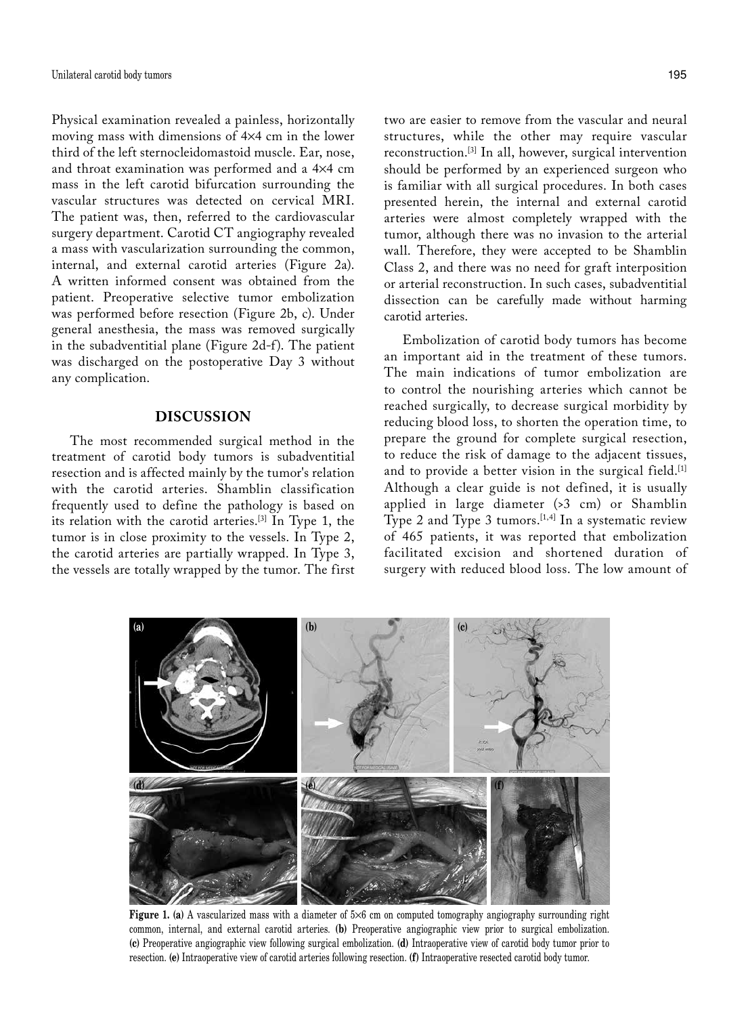Physical examination revealed a painless, horizontally moving mass with dimensions of 4¥4 cm in the lower third of the left sternocleidomastoid muscle. Ear, nose, and throat examination was performed and a 4¥4 cm mass in the left carotid bifurcation surrounding the vascular structures was detected on cervical MRI. The patient was, then, referred to the cardiovascular surgery department. Carotid CT angiography revealed a mass with vascularization surrounding the common, internal, and external carotid arteries (Figure 2a). A written informed consent was obtained from the patient. Preoperative selective tumor embolization was performed before resection (Figure 2b, c). Under general anesthesia, the mass was removed surgically in the subadventitial plane (Figure 2d-f). The patient was discharged on the postoperative Day 3 without any complication.

## **DISCUSSION**

The most recommended surgical method in the treatment of carotid body tumors is subadventitial resection and is affected mainly by the tumor's relation with the carotid arteries. Shamblin classification frequently used to define the pathology is based on its relation with the carotid arteries.[3] In Type 1, the tumor is in close proximity to the vessels. In Type 2, the carotid arteries are partially wrapped. In Type 3, the vessels are totally wrapped by the tumor. The first

two are easier to remove from the vascular and neural structures, while the other may require vascular reconstruction.[3] In all, however, surgical intervention should be performed by an experienced surgeon who is familiar with all surgical procedures. In both cases presented herein, the internal and external carotid arteries were almost completely wrapped with the tumor, although there was no invasion to the arterial wall. Therefore, they were accepted to be Shamblin Class 2, and there was no need for graft interposition or arterial reconstruction. In such cases, subadventitial dissection can be carefully made without harming carotid arteries.

Embolization of carotid body tumors has become an important aid in the treatment of these tumors. The main indications of tumor embolization are to control the nourishing arteries which cannot be reached surgically, to decrease surgical morbidity by reducing blood loss, to shorten the operation time, to prepare the ground for complete surgical resection, to reduce the risk of damage to the adjacent tissues, and to provide a better vision in the surgical field.<sup>[1]</sup> Although a clear guide is not defined, it is usually applied in large diameter (>3 cm) or Shamblin Type 2 and Type 3 tumors.  $[1,4]$  In a systematic review of 465 patients, it was reported that embolization facilitated excision and shortened duration of surgery with reduced blood loss. The low amount of



**Figure 1.** (a) A vascularized mass with a diameter of  $5\times6$  cm on computed tomography angiography surrounding right common, internal, and external carotid arteries. **(b)** Preoperative angiographic view prior to surgical embolization. **(c)** Preoperative angiographic view following surgical embolization. **(d)** Intraoperative view of carotid body tumor prior to resection. **(e)** Intraoperative view of carotid arteries following resection. **(f)** Intraoperative resected carotid body tumor.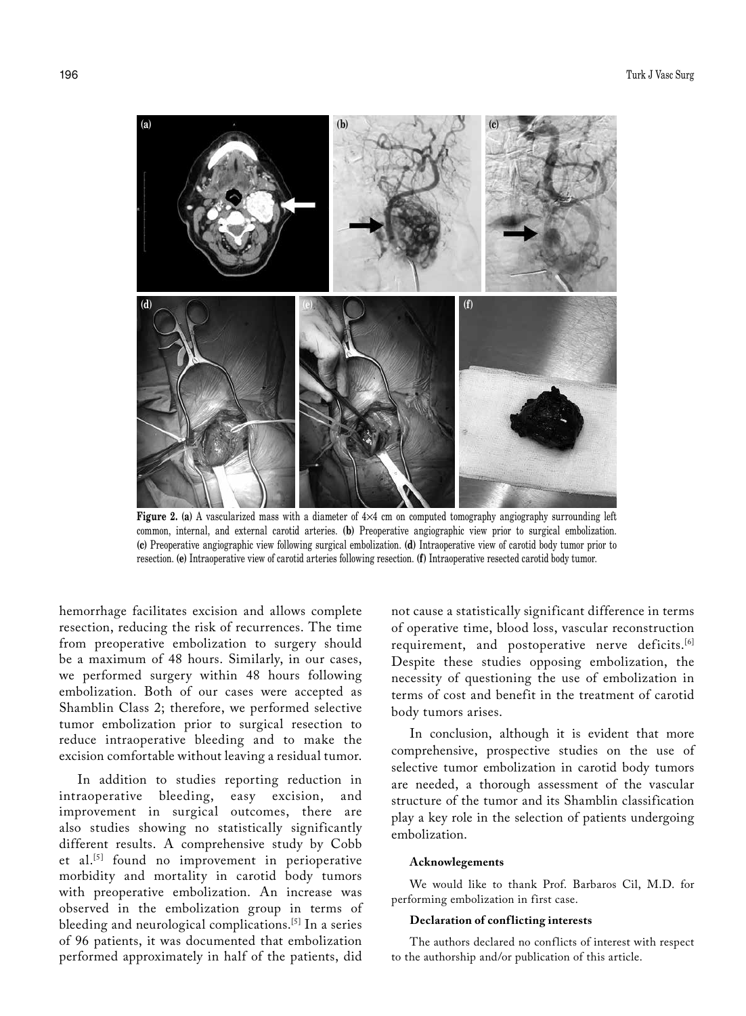

**Figure 2. (a)** A vascularized mass with a diameter of 4¥4 cm on computed tomography angiography surrounding left common, internal, and external carotid arteries. **(b)** Preoperative angiographic view prior to surgical embolization. **(c)** Preoperative angiographic view following surgical embolization. **(d)** Intraoperative view of carotid body tumor prior to resection. **(e)** Intraoperative view of carotid arteries following resection. **(f)** Intraoperative resected carotid body tumor.

hemorrhage facilitates excision and allows complete resection, reducing the risk of recurrences. The time from preoperative embolization to surgery should be a maximum of 48 hours. Similarly, in our cases, we performed surgery within 48 hours following embolization. Both of our cases were accepted as Shamblin Class 2; therefore, we performed selective tumor embolization prior to surgical resection to reduce intraoperative bleeding and to make the excision comfortable without leaving a residual tumor.

In addition to studies reporting reduction in intraoperative bleeding, easy excision, and improvement in surgical outcomes, there are also studies showing no statistically significantly different results. A comprehensive study by Cobb et al.[5] found no improvement in perioperative morbidity and mortality in carotid body tumors with preoperative embolization. An increase was observed in the embolization group in terms of bleeding and neurological complications.[5] In a series of 96 patients, it was documented that embolization performed approximately in half of the patients, did

not cause a statistically significant difference in terms of operative time, blood loss, vascular reconstruction requirement, and postoperative nerve deficits.<sup>[6]</sup> Despite these studies opposing embolization, the necessity of questioning the use of embolization in terms of cost and benefit in the treatment of carotid body tumors arises.

In conclusion, although it is evident that more comprehensive, prospective studies on the use of selective tumor embolization in carotid body tumors are needed, a thorough assessment of the vascular structure of the tumor and its Shamblin classification play a key role in the selection of patients undergoing embolization.

### **Acknowlegements**

We would like to thank Prof. Barbaros Cil, M.D. for performing embolization in first case.

#### **Declaration of conflicting interests**

The authors declared no conflicts of interest with respect to the authorship and/or publication of this article.